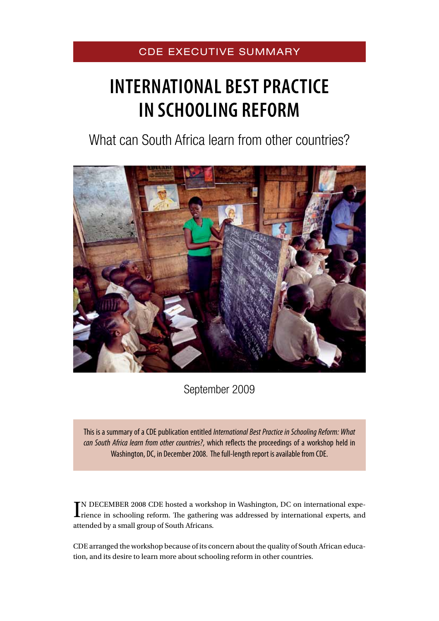# CDE EXECUTIVE SUMMARY

# **INTERNATIONAL BEST PRACTICE IN SCHOOLING REFORM**

What can South Africa learn from other countries?



September 2009

This is a summary of a CDE publication entitled *International Best Practice in Schooling Reform: What can South Africa learn from other countries?*, which reflects the proceedings of a workshop held in Washington, DC, in December 2008. The full-length report is available from CDE.

IN DECEMBER 2008 CDE hosted a workshop in Washington, DC on international experience in schooling reform. The gathering was addressed by international experts, and N DECEMBER 2008 CDE hosted a workshop in Washington, DC on international expeattended by a small group of South Africans.

CDE arranged the workshop because of its concern about the quality of South African education, and its desire to learn more about schooling reform in other countries.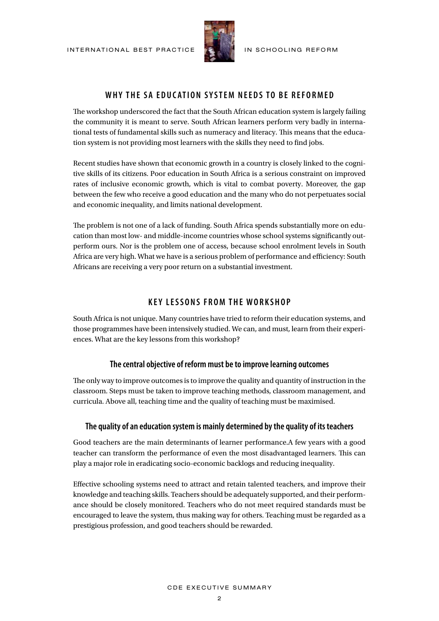

# **WHY THE SA EDUCATION SYSTEM NEEDS TO BE REFORMED**

The workshop underscored the fact that the South African education system is largely failing the community it is meant to serve. South African learners perform very badly in international tests of fundamental skills such as numeracy and literacy. This means that the education system is not providing most learners with the skills they need to find jobs.

Recent studies have shown that economic growth in a country is closely linked to the cognitive skills of its citizens. Poor education in South Africa is a serious constraint on improved rates of inclusive economic growth, which is vital to combat poverty. Moreover, the gap between the few who receive a good education and the many who do not perpetuates social and economic inequality, and limits national development.

The problem is not one of a lack of funding. South Africa spends substantially more on education than most low- and middle-income countries whose school systems significantly outperform ours. Nor is the problem one of access, because school enrolment levels in South Africa are very high. What we have is a serious problem of performance and efficiency: South Africans are receiving a very poor return on a substantial investment.

#### **K ey lessons from the workshop**

South Africa is not unique. Many countries have tried to reform their education systems, and those programmes have been intensively studied. We can, and must, learn from their experiences. What are the key lessons from this workshop?

#### **The central objective of reform must be to improve learning outcomes**

The only way to improve outcomes is to improve the quality and quantity of instruction in the classroom. Steps must be taken to improve teaching methods, classroom management, and curricula. Above all, teaching time and the quality of teaching must be maximised.

#### **The quality of an education system is mainly determined by the quality of its teachers**

Good teachers are the main determinants of learner performance.A few years with a good teacher can transform the performance of even the most disadvantaged learners. This can play a major role in eradicating socio-economic backlogs and reducing inequality.

Effective schooling systems need to attract and retain talented teachers, and improve their knowledge and teaching skills. Teachers should be adequately supported, and their performance should be closely monitored. Teachers who do not meet required standards must be encouraged to leave the system, thus making way for others. Teaching must be regarded as a prestigious profession, and good teachers should be rewarded.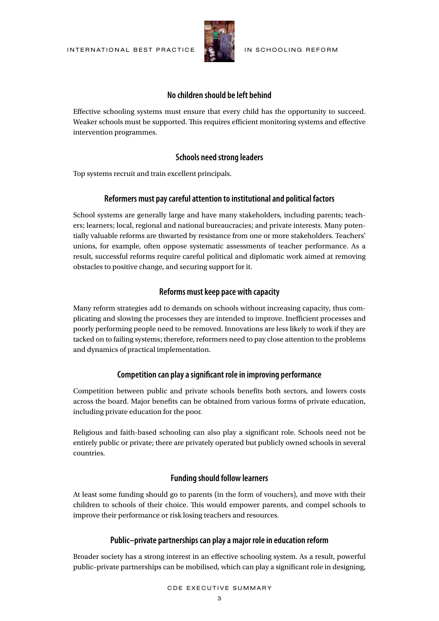

#### **No children should be left behind**

Effective schooling systems must ensure that every child has the opportunity to succeed. Weaker schools must be supported. This requires efficient monitoring systems and effective intervention programmes.

#### **Schools need strong leaders**

Top systems recruit and train excellent principals.

#### **Reformers must pay careful attention to institutional and political factors**

School systems are generally large and have many stakeholders, including parents; teachers; learners; local, regional and national bureaucracies; and private interests. Many potentially valuable reforms are thwarted by resistance from one or more stakeholders. Teachers' unions, for example, often oppose systematic assessments of teacher performance. As a result, successful reforms require careful political and diplomatic work aimed at removing obstacles to positive change, and securing support for it.

#### **Reforms must keep pace with capacity**

Many reform strategies add to demands on schools without increasing capacity, thus complicating and slowing the processes they are intended to improve. Inefficient processes and poorly performing people need to be removed. Innovations are less likely to work if they are tacked on to failing systems; therefore, reformers need to pay close attention to the problems and dynamics of practical implementation.

#### **Competition can play a significant role in improving performance**

Competition between public and private schools benefits both sectors, and lowers costs across the board. Major benefits can be obtained from various forms of private education, including private education for the poor.

Religious and faith-based schooling can also play a significant role. Schools need not be entirely public or private; there are privately operated but publicly owned schools in several countries.

#### **Funding should follow learners**

At least some funding should go to parents (in the form of vouchers), and move with their children to schools of their choice. This would empower parents, and compel schools to improve their performance or risk losing teachers and resources.

#### **Public–private partnerships can play a major role in education reform**

Broader society has a strong interest in an effective schooling system. As a result, powerful public–private partnerships can be mobilised, which can play a significant role in designing,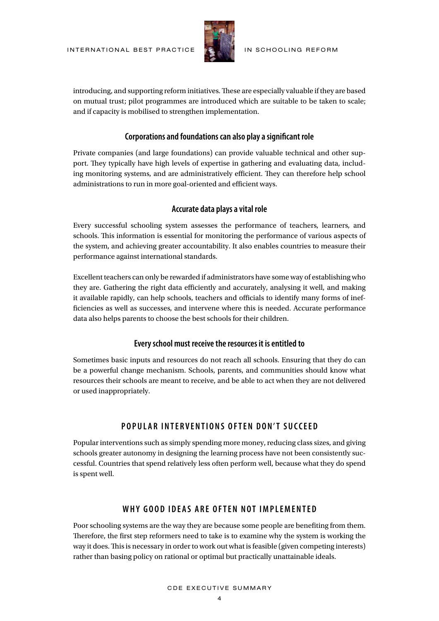

introducing, and supporting reform initiatives. These are especially valuable if they are based on mutual trust; pilot programmes are introduced which are suitable to be taken to scale; and if capacity is mobilised to strengthen implementation.

#### **Corporations and foundations can also play a significant role**

Private companies (and large foundations) can provide valuable technical and other support. They typically have high levels of expertise in gathering and evaluating data, including monitoring systems, and are administratively efficient. They can therefore help school administrations to run in more goal-oriented and efficient ways.

#### **Accurate data plays a vital role**

Every successful schooling system assesses the performance of teachers, learners, and schools. This information is essential for monitoring the performance of various aspects of the system, and achieving greater accountability. It also enables countries to measure their performance against international standards.

Excellent teachers can only be rewarded if administrators have some way of establishing who they are. Gathering the right data efficiently and accurately, analysing it well, and making it available rapidly, can help schools, teachers and officials to identify many forms of inefficiencies as well as successes, and intervene where this is needed. Accurate performance data also helps parents to choose the best schools for their children.

#### **Every school must receive the resources it is entitled to**

Sometimes basic inputs and resources do not reach all schools. Ensuring that they do can be a powerful change mechanism. Schools, parents, and communities should know what resources their schools are meant to receive, and be able to act when they are not delivered or used inappropriately.

### **P opular inter v entions often d on't succee d**

Popular interventions such as simply spending more money, reducing class sizes, and giving schools greater autonomy in designing the learning process have not been consistently successful. Countries that spend relatively less often perform well, because what they do spend is spent well.

#### **WHY GOOD IDEAS ARE OFTEN NOT IMPLEMENTED**

Poor schooling systems are the way they are because some people are benefiting from them. Therefore, the first step reformers need to take is to examine why the system is working the way it does. This is necessary in order to work out what is feasible (given competing interests) rather than basing policy on rational or optimal but practically unattainable ideals.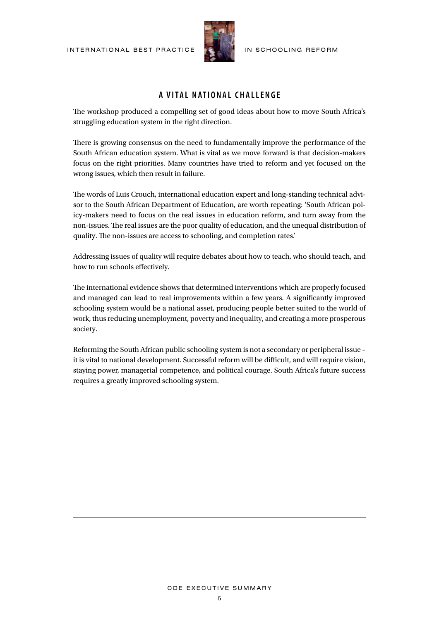

## **a v ital national challenge**

The workshop produced a compelling set of good ideas about how to move South Africa's struggling education system in the right direction.

There is growing consensus on the need to fundamentally improve the performance of the South African education system. What is vital as we move forward is that decision-makers focus on the right priorities. Many countries have tried to reform and yet focused on the wrong issues, which then result in failure.

The words of Luis Crouch, international education expert and long-standing technical advisor to the South African Department of Education, are worth repeating: 'South African policy-makers need to focus on the real issues in education reform, and turn away from the non-issues. The real issues are the poor quality of education, and the unequal distribution of quality. The non-issues are access to schooling, and completion rates.'

Addressing issues of quality will require debates about how to teach, who should teach, and how to run schools effectively.

The international evidence shows that determined interventions which are properly focused and managed can lead to real improvements within a few years. A significantly improved schooling system would be a national asset, producing people better suited to the world of work, thus reducing unemployment, poverty and inequality, and creating a more prosperous society.

Reforming the South African public schooling system is not a secondary or peripheral issue – it is vital to national development. Successful reform will be difficult, and will require vision, staying power, managerial competence, and political courage. South Africa's future success requires a greatly improved schooling system.